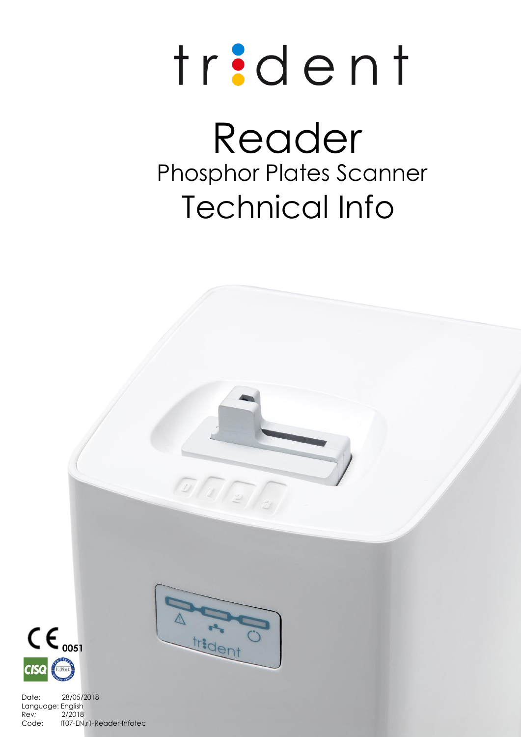# trident

# Reader Technical Info Phosphor Plates Scanner

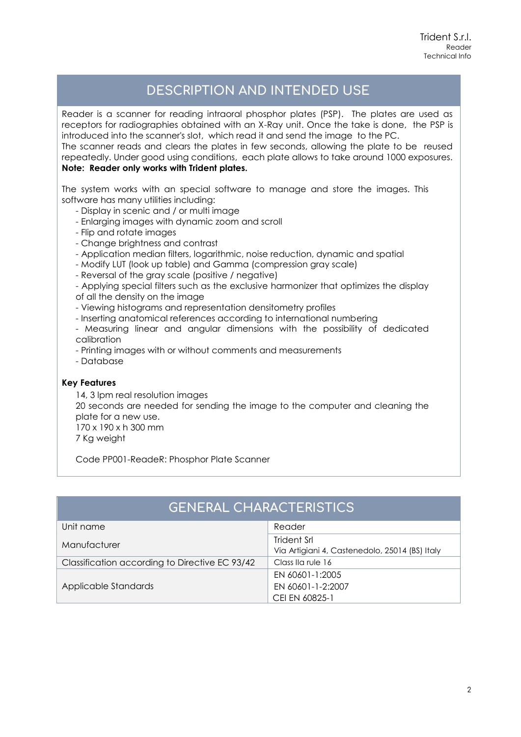## **DESCRIPTION AND INTENDED USE**

Reader is a scanner for reading intraoral phosphor plates (PSP). The plates are used as receptors for radiographies obtained with an X-Ray unit. Once the take is done, the PSP is introduced into the scanner's slot, which read it and send the image to the PC. The scanner reads and clears the plates in few seconds, allowing the plate to be reused repeatedly. Under good using conditions, each plate allows to take around 1000 exposures.

### **Note: Reader only works with Trident plates.**

The system works with an special software to manage and store the images. This software has many utilities including:

- Display in scenic and / or multi image
- Enlarging images with dynamic zoom and scroll
- Flip and rotate images
- Change brightness and contrast
- Application median filters, logarithmic, noise reduction, dynamic and spatial
- Modify LUT (look up table) and Gamma (compression gray scale)
- Reversal of the gray scale (positive / negative)

- Applying special filters such as the exclusive harmonizer that optimizes the display of all the density on the image

- Viewing histograms and representation densitometry profiles
- Inserting anatomical references according to international numbering

- Measuring linear and angular dimensions with the possibility of dedicated calibration

- Printing images with or without comments and measurements

- Database

#### **Key Features**

14, 3 lpm real resolution images 20 seconds are needed for sending the image to the computer and cleaning the plate for a new use. 170 x 190 x h 300 mm 7 Kg weight

Code PP001-ReadeR: Phosphor Plate Scanner

| <b>GENERAL CHARACTERISTICS</b>                 |                                                               |  |  |
|------------------------------------------------|---------------------------------------------------------------|--|--|
| Unit name                                      | Reader                                                        |  |  |
| Manufacturer                                   | Trident Srl<br>Via Artigiani 4, Castenedolo, 25014 (BS) Italy |  |  |
| Classification according to Directive EC 93/42 | Class IIa rule 16                                             |  |  |
| Applicable Standards                           | EN 60601-1:2005<br>EN 60601-1-2:2007                          |  |  |
|                                                | CEI EN 60825-1                                                |  |  |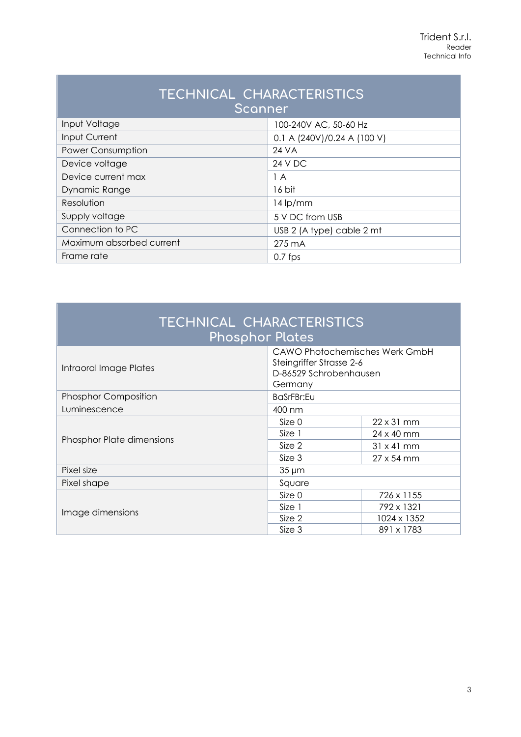| TECHNICAL CHARACTERISTICS<br>Scanner |                             |  |
|--------------------------------------|-----------------------------|--|
| Input Voltage                        | 100-240V AC, 50-60 Hz       |  |
| Input Current                        | 0.1 A (240V)/0.24 A (100 V) |  |
| <b>Power Consumption</b>             | 24 VA                       |  |
| Device voltage                       | 24 V DC                     |  |
| Device current max                   | 1 A                         |  |
| Dynamic Range                        | 16 bit                      |  |
| Resolution                           | $14$ lp/mm                  |  |
| Supply voltage                       | 5 V DC from USB             |  |
| Connection to PC                     | USB 2 (A type) cable 2 mt   |  |
| Maximum absorbed current             | $275 \text{ mA}$            |  |
| Frame rate                           | $0.7$ fps                   |  |

| TECHNICAL CHARACTERISTICS<br><b>Phosphor Plates</b> |                                                                                                        |                   |  |  |  |
|-----------------------------------------------------|--------------------------------------------------------------------------------------------------------|-------------------|--|--|--|
| Intraoral Image Plates                              | <b>CAWO Photochemisches Werk GmbH</b><br>Steingriffer Strasse 2-6<br>D-86529 Schrobenhausen<br>Germany |                   |  |  |  |
| <b>Phosphor Composition</b>                         | BaSrFBr:Eu                                                                                             |                   |  |  |  |
| Luminescence                                        | 400 nm                                                                                                 |                   |  |  |  |
| <b>Phosphor Plate dimensions</b>                    | Size 0                                                                                                 | $22 \times 31$ mm |  |  |  |
|                                                     | Size 1                                                                                                 | 24 x 40 mm        |  |  |  |
|                                                     | Size 2                                                                                                 | $31 \times 41$ mm |  |  |  |
|                                                     | Size 3                                                                                                 | $27 \times 54$ mm |  |  |  |
| Pixel size                                          | $35 \mu m$                                                                                             |                   |  |  |  |
| Pixel shape                                         | Square                                                                                                 |                   |  |  |  |
| Image dimensions                                    | Size 0                                                                                                 | 726 x 1155        |  |  |  |
|                                                     | Size 1                                                                                                 | 792 x 1321        |  |  |  |
|                                                     | Size 2                                                                                                 | 1024 x 1352       |  |  |  |
|                                                     | Size 3                                                                                                 | 891 x 1783        |  |  |  |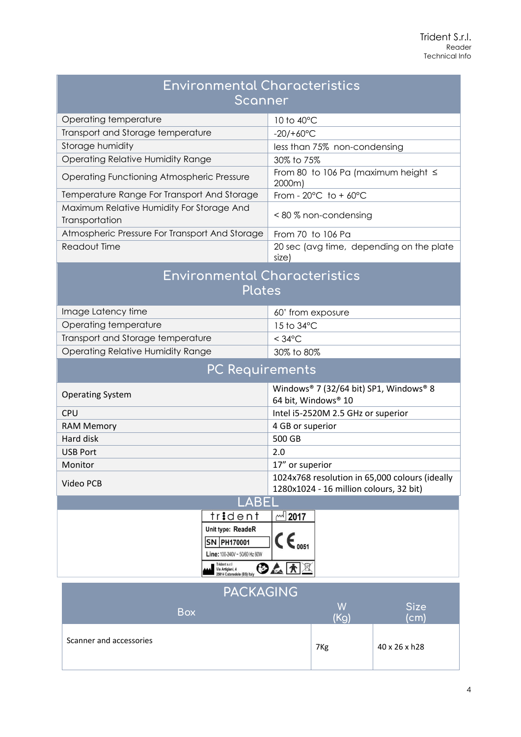| <b>Environmental Characteristics</b><br>Scanner                                                                                       |                                                                                           |  |  |
|---------------------------------------------------------------------------------------------------------------------------------------|-------------------------------------------------------------------------------------------|--|--|
| Operating temperature                                                                                                                 | 10 to 40°C                                                                                |  |  |
| Transport and Storage temperature                                                                                                     | $-20/+60°C$                                                                               |  |  |
| Storage humidity                                                                                                                      | less than 75% non-condensing                                                              |  |  |
| <b>Operating Relative Humidity Range</b>                                                                                              | 30% to 75%                                                                                |  |  |
| Operating Functioning Atmospheric Pressure                                                                                            | From 80 to 106 Pa (maximum height $\leq$<br>2000m)                                        |  |  |
| Temperature Range For Transport And Storage                                                                                           | From - $20^{\circ}$ C to + $60^{\circ}$ C                                                 |  |  |
| Maximum Relative Humidity For Storage And<br>Transportation                                                                           | < 80 % non-condensing                                                                     |  |  |
| Atmospheric Pressure For Transport And Storage                                                                                        | From 70 to 106 Pa                                                                         |  |  |
| Readout Time                                                                                                                          | 20 sec (avg time, depending on the plate<br>size)                                         |  |  |
| <b>Environmental Characteristics</b><br><b>Plates</b>                                                                                 |                                                                                           |  |  |
| Image Latency time                                                                                                                    | 60' from exposure                                                                         |  |  |
| Operating temperature                                                                                                                 | 15 to 34°C                                                                                |  |  |
| Transport and Storage temperature                                                                                                     | $<$ 34°C                                                                                  |  |  |
| <b>Operating Relative Humidity Range</b>                                                                                              | 30% to 80%                                                                                |  |  |
| <b>PC Requirements</b>                                                                                                                |                                                                                           |  |  |
| <b>Operating System</b>                                                                                                               | Windows® 7 (32/64 bit) SP1, Windows® 8<br>64 bit, Windows® 10                             |  |  |
| CPU                                                                                                                                   | Intel i5-2520M 2.5 GHz or superior                                                        |  |  |
| <b>RAM Memory</b>                                                                                                                     | 4 GB or superior                                                                          |  |  |
| Hard disk                                                                                                                             | 500 GB                                                                                    |  |  |
| <b>USB Port</b>                                                                                                                       | 2.0                                                                                       |  |  |
| Monitor                                                                                                                               | 17" or superior                                                                           |  |  |
| Video PCB                                                                                                                             | 1024x768 resolution in 65,000 colours (ideally<br>1280x1024 - 16 million colours, 32 bit) |  |  |
| <u>LABEL</u>                                                                                                                          |                                                                                           |  |  |
| trident                                                                                                                               | <b>™ 2017</b>                                                                             |  |  |
| Unit type: ReadeR<br>SN PH170001<br>Line: 100-240V ~ 50/60 Hz 60W<br>Trident s.r.l<br>Via Artigiani, 4<br>25014 Catenedolo (BS) Italy | $C \epsilon_{\text{0051}}$<br>◎△太图                                                        |  |  |

| <b>PACKAGING</b>        |                 |                     |  |
|-------------------------|-----------------|---------------------|--|
| <b>Box</b>              | W<br>(Ka)       | <b>Size</b><br>(cm) |  |
| Scanner and accessories | 7 <sub>Kg</sub> | 40 x 26 x h28       |  |